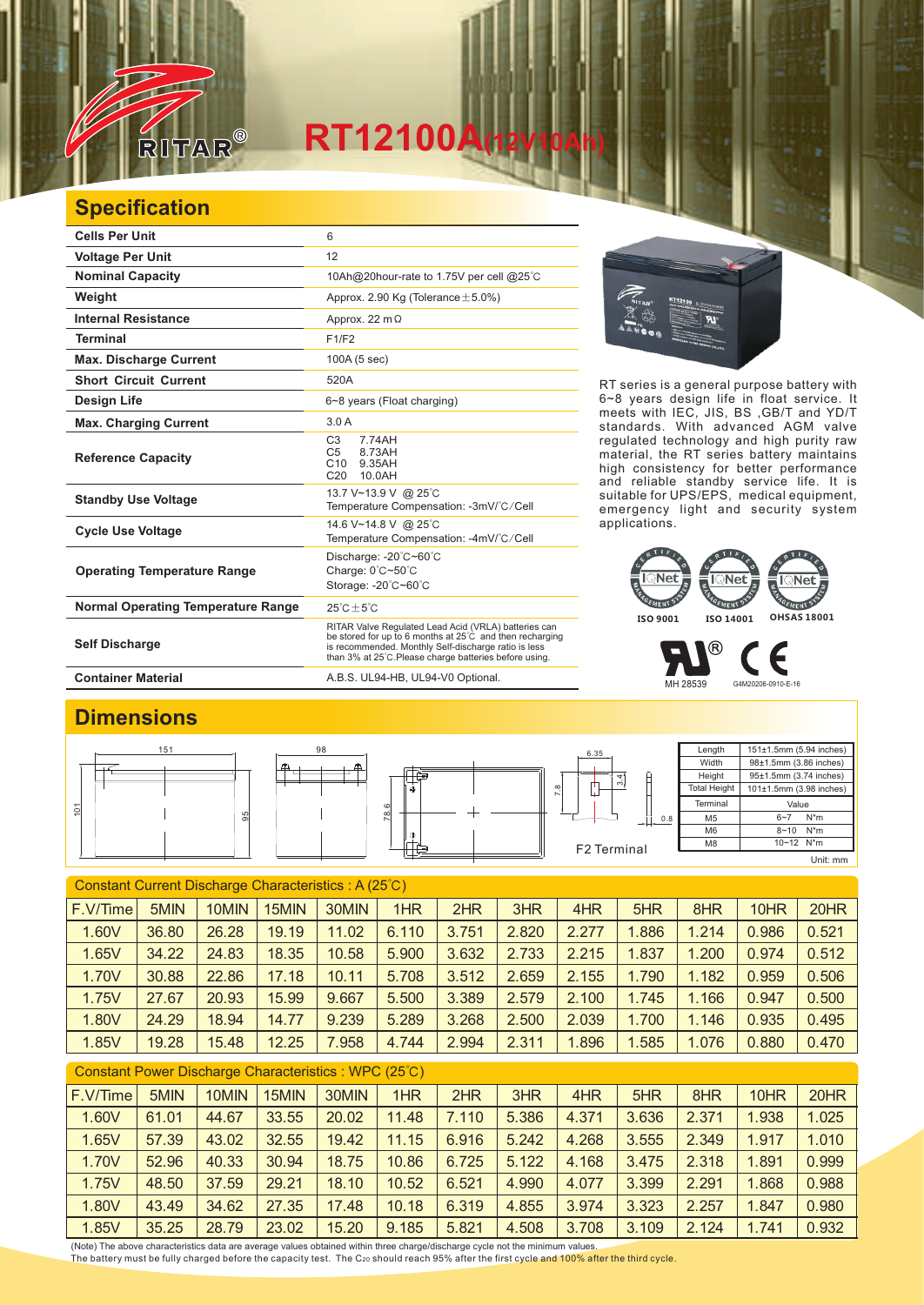

## **RT12100A(12V10Ah)**

## **Specification**

| <b>Cells Per Unit</b>                     | 6                                                                                                                                                                                                                                  |
|-------------------------------------------|------------------------------------------------------------------------------------------------------------------------------------------------------------------------------------------------------------------------------------|
| <b>Voltage Per Unit</b>                   | 12                                                                                                                                                                                                                                 |
| <b>Nominal Capacity</b>                   | 10Ah@20hour-rate to 1.75V per cell @25°C                                                                                                                                                                                           |
| Weight                                    | Approx. 2.90 Kg (Tolerance $\pm$ 5.0%)                                                                                                                                                                                             |
| <b>Internal Resistance</b>                | Approx. 22 $m\Omega$                                                                                                                                                                                                               |
| <b>Terminal</b>                           | F1/F2                                                                                                                                                                                                                              |
| <b>Max. Discharge Current</b>             | 100A (5 sec)                                                                                                                                                                                                                       |
| <b>Short Circuit Current</b>              | 520A                                                                                                                                                                                                                               |
| <b>Design Life</b>                        | 6~8 years (Float charging)                                                                                                                                                                                                         |
| <b>Max. Charging Current</b>              | 3.0A                                                                                                                                                                                                                               |
| <b>Reference Capacity</b>                 | C <sub>3</sub><br>774AH<br>C <sub>5</sub><br>8.73AH<br>C10<br>9.35AH<br>C <sub>20</sub><br>10.0AH                                                                                                                                  |
| <b>Standby Use Voltage</b>                | 13.7 V~13.9 V @ 25°C<br>Temperature Compensation: -3mV/°C/Cell                                                                                                                                                                     |
| <b>Cycle Use Voltage</b>                  | 14.6 V~14.8 V @ 25°C<br>Temperature Compensation: -4mV/°C/Cell                                                                                                                                                                     |
| <b>Operating Temperature Range</b>        | Discharge: -20°C~60°C<br>Charge: 0°C~50°C<br>Storage: -20°C~60°C                                                                                                                                                                   |
| <b>Normal Operating Temperature Range</b> | $25^{\circ}$ C + 5 $^{\circ}$ C                                                                                                                                                                                                    |
| <b>Self Discharge</b>                     | RITAR Valve Regulated Lead Acid (VRLA) batteries can<br>be stored for up to 6 months at 25°C and then recharging<br>is recommended. Monthly Self-discharge ratio is less<br>than 3% at 25°C. Please charge batteries before using. |
| <b>Container Material</b>                 | A.B.S. UL94-HB, UL94-V0 Optional.                                                                                                                                                                                                  |





RT series is a general purpose battery with 6~8 years design life in float service. It





 $^\circledR$ F

MH 28539 G4M20206-0910-E-16

## **Dimensions**

|   | 151 | 98         |                     | 6.35                     | Length              | 151±1.5mm (5.94 inches)   |
|---|-----|------------|---------------------|--------------------------|---------------------|---------------------------|
|   |     | டி<br>____ |                     |                          | Width               | 98±1.5mm (3.86 inches)    |
|   |     |            | —                   | 4                        | Height              | 95±1.5mm (3.74 inches)    |
|   |     |            | $\circledcirc$      | നം<br>$\infty$<br>щ<br>∼ | <b>Total Height</b> | 101±1.5mm (3.98 inches)   |
| o |     |            | 0<br>$\infty$<br>ĸ. |                          | Terminal            | Value                     |
|   |     |            |                     | $+1$ 0.8                 | M <sub>5</sub>      | N*m<br>$6 - 7$            |
|   |     |            | $\Phi$              |                          | M <sub>6</sub>      | $8 - 10$ N <sup>*</sup> m |
|   |     |            |                     | F2 Terminal              | M8                  | 10~12 N*m                 |
|   |     |            |                     |                          |                     | Unit: mm                  |

| Constant Current Discharge Characteristics: A (25°C) |       |       |       |       |       |       |       |       |       |       |       |       |
|------------------------------------------------------|-------|-------|-------|-------|-------|-------|-------|-------|-------|-------|-------|-------|
| F.V/Time                                             | 5MIN  | 10MIN | 15MIN | 30MIN | 1HR   | 2HR   | 3HR   | 4HR   | 5HR   | 8HR   | 10HR  | 20HR  |
| 1.60V                                                | 36.80 | 26.28 | 19.19 | 11.02 | 6.110 | 3.751 | 2.820 | 2.277 | 1.886 | 1.214 | 0.986 | 0.521 |
| 1.65V                                                | 34.22 | 24.83 | 18.35 | 10.58 | 5.900 | 3.632 | 2.733 | 2.215 | 1.837 | 1.200 | 0.974 | 0.512 |
| 1.70V                                                | 30.88 | 22.86 | 17.18 | 10.11 | 5.708 | 3.512 | 2.659 | 2.155 | 1.790 | 1.182 | 0.959 | 0.506 |
| 1.75V                                                | 27.67 | 20.93 | 15.99 | 9.667 | 5.500 | 3.389 | 2.579 | 2.100 | 1.745 | 1.166 | 0.947 | 0.500 |
| 1.80V                                                | 24.29 | 18.94 | 14.77 | 9.239 | 5.289 | 3.268 | 2.500 | 2.039 | 1.700 | 1.146 | 0.935 | 0.495 |
| 1.85V                                                | 19.28 | 15.48 | 12.25 | 7.958 | 4.744 | 2.994 | 2.311 | 1.896 | 1.585 | 1.076 | 0.880 | 0.470 |
|                                                      |       |       |       |       |       |       |       |       |       |       |       |       |

| Constant Power Discharge Characteristics: WPC (25°C) |       |       |       |       |       |       |       |       |       |       |       |       |
|------------------------------------------------------|-------|-------|-------|-------|-------|-------|-------|-------|-------|-------|-------|-------|
| F.V/Time                                             | 5MIN  | 10MIN | 15MIN | 30MIN | 1HR   | 2HR   | 3HR   | 4HR   | 5HR   | 8HR   | 10HR  | 20HR  |
| 1.60V                                                | 61.01 | 44.67 | 33.55 | 20.02 | 11.48 | 7.110 | 5.386 | 4.371 | 3.636 | 2.371 | 1.938 | 1.025 |
| 1.65V                                                | 57.39 | 43.02 | 32.55 | 19.42 | 11.15 | 6.916 | 5.242 | 4.268 | 3.555 | 2.349 | 1.917 | 1.010 |
| 1.70V                                                | 52.96 | 40.33 | 30.94 | 18.75 | 10.86 | 6.725 | 5.122 | 4.168 | 3.475 | 2.318 | 1.891 | 0.999 |
| 1.75V                                                | 48.50 | 37.59 | 29.21 | 18.10 | 10.52 | 6.521 | 4.990 | 4.077 | 3.399 | 2.291 | 1.868 | 0.988 |
| 1.80V                                                | 43.49 | 34.62 | 27.35 | 17.48 | 10.18 | 6.319 | 4.855 | 3.974 | 3.323 | 2.257 | 1.847 | 0.980 |
| 1.85V                                                | 35.25 | 28.79 | 23.02 | 15.20 | 9.185 | 5.821 | 4.508 | 3.708 | 3.109 | 2.124 | 1.741 | 0.932 |

(Note) The above characteristics data are average values obtained within three charge/discharge cycle not the minimum values.<br><u>T</u>he battery must be fully charged before the capacity test. The C20 should reach 95% after th